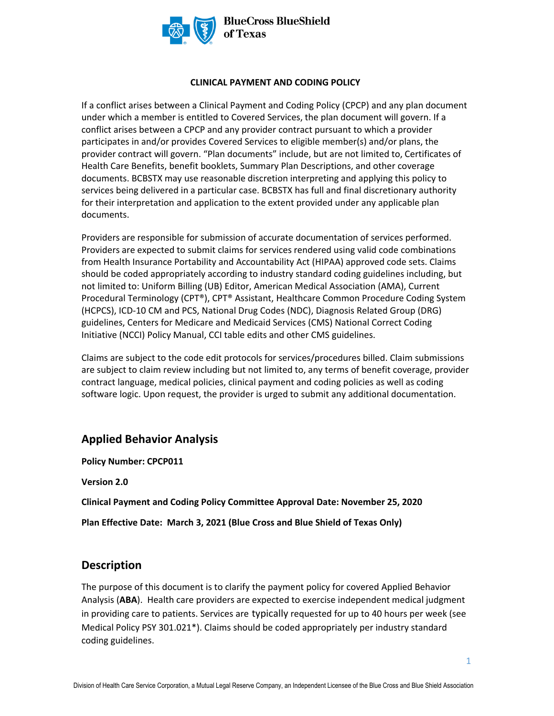

#### **CLINICAL PAYMENT AND CODING POLICY**

If a conflict arises between a Clinical Payment and Coding Policy (CPCP) and any plan document under which a member is entitled to Covered Services, the plan document will govern. If a conflict arises between a CPCP and any provider contract pursuant to which a provider participates in and/or provides Covered Services to eligible member(s) and/or plans, the provider contract will govern. "Plan documents" include, but are not limited to, Certificates of Health Care Benefits, benefit booklets, Summary Plan Descriptions, and other coverage documents. BCBSTX may use reasonable discretion interpreting and applying this policy to services being delivered in a particular case. BCBSTX has full and final discretionary authority for their interpretation and application to the extent provided under any applicable plan documents.

Providers are responsible for submission of accurate documentation of services performed. Providers are expected to submit claims for services rendered using valid code combinations from Health Insurance Portability and Accountability Act (HIPAA) approved code sets. Claims should be coded appropriately according to industry standard coding guidelines including, but not limited to: Uniform Billing (UB) Editor, American Medical Association (AMA), Current Procedural Terminology (CPT®), CPT® Assistant, Healthcare Common Procedure Coding System (HCPCS), ICD-10 CM and PCS, National Drug Codes (NDC), Diagnosis Related Group (DRG) guidelines, Centers for Medicare and Medicaid Services (CMS) National Correct Coding Initiative (NCCI) Policy Manual, CCI table edits and other CMS guidelines.

Claims are subject to the code edit protocols for services/procedures billed. Claim submissions are subject to claim review including but not limited to, any terms of benefit coverage, provider contract language, medical policies, clinical payment and coding policies as well as coding software logic. Upon request, the provider is urged to submit any additional documentation.

## **Applied Behavior Analysis**

**Policy Number: CPCP011** 

**Version 2.0** 

**Clinical Payment and Coding Policy Committee Approval Date: November 25, 2020** 

**Plan Effective Date: March 3, 2021 (Blue Cross and Blue Shield of Texas Only)**

## **Description**

The purpose of this document is to clarify the payment policy for covered Applied Behavior Analysis (**ABA**). Health care providers are expected to exercise independent medical judgment in providing care to patients. Services are typically requested for up to 40 hours per week (see Medical Policy PSY 301.021\*). Claims should be coded appropriately per industry standard coding guidelines.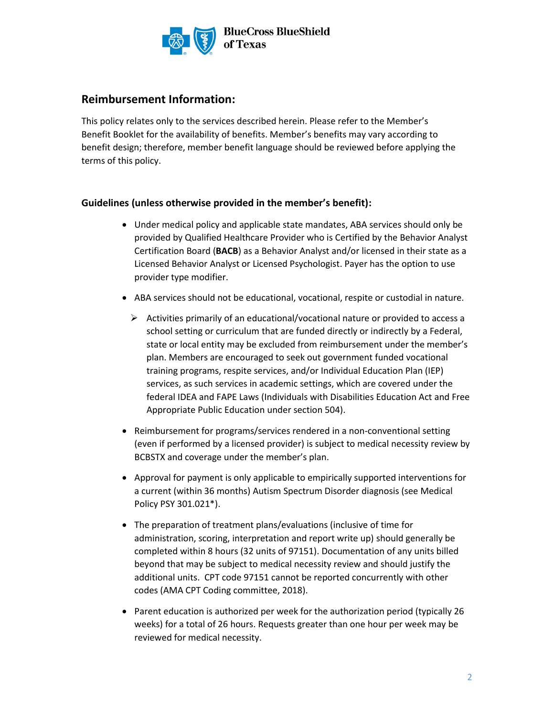

# **Reimbursement Information:**

This policy relates only to the services described herein. Please refer to the Member's Benefit Booklet for the availability of benefits. Member's benefits may vary according to benefit design; therefore, member benefit language should be reviewed before applying the terms of this policy.

### **Guidelines (unless otherwise provided in the member's benefit):**

- Under medical policy and applicable state mandates, ABA services should only be provided by Qualified Healthcare Provider who is Certified by the Behavior Analyst Certification Board (**BACB**) as a Behavior Analyst and/or licensed in their state as a Licensed Behavior Analyst or Licensed Psychologist. Payer has the option to use provider type modifier.
- ABA services should not be educational, vocational, respite or custodial in nature.
	- $\triangleright$  Activities primarily of an educational/vocational nature or provided to access a school setting or curriculum that are funded directly or indirectly by a Federal, state or local entity may be excluded from reimbursement under the member's plan. Members are encouraged to seek out government funded vocational training programs, respite services, and/or Individual Education Plan (IEP) services, as such services in academic settings, which are covered under the federal IDEA and FAPE Laws (Individuals with Disabilities Education Act and Free Appropriate Public Education under section 504).
- Reimbursement for programs/services rendered in a non-conventional setting (even if performed by a licensed provider) is subject to medical necessity review by BCBSTX and coverage under the member's plan.
- Approval for payment is only applicable to empirically supported interventions for a current (within 36 months) Autism Spectrum Disorder diagnosis (see Medical Policy PSY 301.021\*).
- The preparation of treatment plans/evaluations (inclusive of time for administration, scoring, interpretation and report write up) should generally be completed within 8 hours (32 units of 97151). Documentation of any units billed beyond that may be subject to medical necessity review and should justify the additional units. CPT code 97151 cannot be reported concurrently with other codes (AMA CPT Coding committee, 2018).
- Parent education is authorized per week for the authorization period (typically 26 weeks) for a total of 26 hours. Requests greater than one hour per week may be reviewed for medical necessity.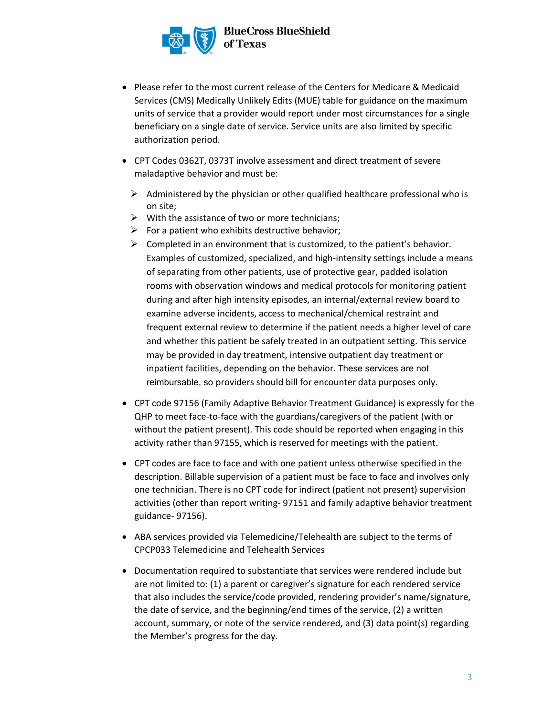

- Please refer to the most current release of the Centers for Medicare & Medicaid Services (CMS) Medically Unlikely Edits (MUE) table for guidance on the maximum units of service that a provider would report under most circumstances for a single beneficiary on a single date of service. Service units are also limited by specific authorization period.
- CPT Codes 0362T, 0373T involve assessment and direct treatment of severe maladaptive behavior and must be:
	- $\triangleright$  Administered by the physician or other qualified healthcare professional who is on site;
	- $\triangleright$  With the assistance of two or more technicians;
	- $\triangleright$  For a patient who exhibits destructive behavior;
	- $\triangleright$  Completed in an environment that is customized, to the patient's behavior. Examples of customized, specialized, and high-intensity settings include a means of separating from other patients, use of protective gear, padded isolation rooms with observation windows and medical protocols for monitoring patient during and after high intensity episodes, an internal/external review board to examine adverse incidents, access to mechanical/chemical restraint and frequent external review to determine if the patient needs a higher level of care and whether this patient be safely treated in an outpatient setting. This service may be provided in day treatment, intensive outpatient day treatment or inpatient facilities, depending on the behavior. These services are not reimbursable, so providers should bill for encounter data purposes only.
- CPT code 97156 (Family Adaptive Behavior Treatment Guidance) is expressly for the QHP to meet face-to-face with the guardians/caregivers of the patient (with or without the patient present). This code should be reported when engaging in this activity rather than 97155, which is reserved for meetings with the patient.
- CPT codes are face to face and with one patient unless otherwise specified in the description. Billable supervision of a patient must be face to face and involves only one technician. There is no CPT code for indirect (patient not present) supervision activities (other than report writing- 97151 and family adaptive behavior treatment guidance- 97156).
- ABA services provided via Telemedicine/Telehealth are subject to the terms of CPCP033 Telemedicine and Telehealth Services
- Documentation required to substantiate that services were rendered include but are not limited to: (1) a parent or caregiver's signature for each rendered service that also includes the service/code provided, rendering provider's name/signature, the date of service, and the beginning/end times of the service, (2) a written account, summary, or note of the service rendered, and (3) data point(s) regarding the Member's progress for the day.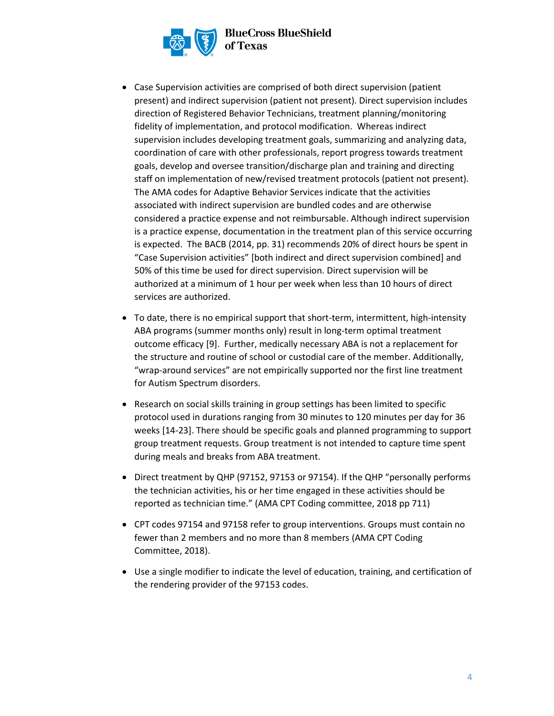

- Case Supervision activities are comprised of both direct supervision (patient present) and indirect supervision (patient not present). Direct supervision includes direction of Registered Behavior Technicians, treatment planning/monitoring fidelity of implementation, and protocol modification. Whereas indirect supervision includes developing treatment goals, summarizing and analyzing data, coordination of care with other professionals, report progress towards treatment goals, develop and oversee transition/discharge plan and training and directing staff on implementation of new/revised treatment protocols (patient not present). The AMA codes for Adaptive Behavior Services indicate that the activities associated with indirect supervision are bundled codes and are otherwise considered a practice expense and not reimbursable. Although indirect supervision is a practice expense, documentation in the treatment plan of this service occurring is expected. The BACB (2014, pp. 31) recommends 20% of direct hours be spent in "Case Supervision activities" [both indirect and direct supervision combined] and 50% of this time be used for direct supervision. Direct supervision will be authorized at a minimum of 1 hour per week when less than 10 hours of direct services are authorized.
- To date, there is no empirical support that short-term, intermittent, high-intensity ABA programs (summer months only) result in long-term optimal treatment outcome efficacy [9]. Further, medically necessary ABA is not a replacement for the structure and routine of school or custodial care of the member. Additionally, "wrap-around services" are not empirically supported nor the first line treatment for Autism Spectrum disorders.
- Research on social skills training in group settings has been limited to specific protocol used in durations ranging from 30 minutes to 120 minutes per day for 36 weeks [14-23]. There should be specific goals and planned programming to support group treatment requests. Group treatment is not intended to capture time spent during meals and breaks from ABA treatment.
- Direct treatment by QHP (97152, 97153 or 97154). If the QHP "personally performs the technician activities, his or her time engaged in these activities should be reported as technician time." (AMA CPT Coding committee, 2018 pp 711)
- CPT codes 97154 and 97158 refer to group interventions. Groups must contain no fewer than 2 members and no more than 8 members (AMA CPT Coding Committee, 2018).
- Use a single modifier to indicate the level of education, training, and certification of the rendering provider of the 97153 codes.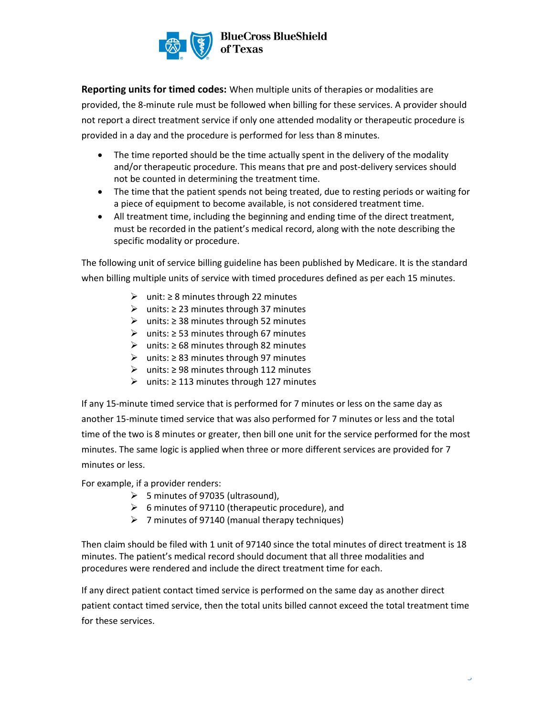

**Reporting units for timed codes:** When multiple units of therapies or modalities are provided, the 8-minute rule must be followed when billing for these services. A provider should not report a direct treatment service if only one attended modality or therapeutic procedure is provided in a day and the procedure is performed for less than 8 minutes.

- The time reported should be the time actually spent in the delivery of the modality and/or therapeutic procedure. This means that pre and post-delivery services should not be counted in determining the treatment time.
- The time that the patient spends not being treated, due to resting periods or waiting for a piece of equipment to become available, is not considered treatment time.
- All treatment time, including the beginning and ending time of the direct treatment, must be recorded in the patient's medical record, along with the note describing the specific modality or procedure.

The following unit of service billing guideline has been published by Medicare. It is the standard when billing multiple units of service with timed procedures defined as per each 15 minutes.

- ➢ unit: ≥ 8 minutes through 22 minutes
- ➢ units: ≥ 23 minutes through 37 minutes
- ➢ units: ≥ 38 minutes through 52 minutes
- ➢ units: ≥ 53 minutes through 67 minutes
- ➢ units: ≥ 68 minutes through 82 minutes
- ➢ units: ≥ 83 minutes through 97 minutes
- ➢ units: ≥ 98 minutes through 112 minutes
- ➢ units: ≥ 113 minutes through 127 minutes

If any 15-minute timed service that is performed for 7 minutes or less on the same day as another 15-minute timed service that was also performed for 7 minutes or less and the total time of the two is 8 minutes or greater, then bill one unit for the service performed for the most minutes. The same logic is applied when three or more different services are provided for 7 minutes or less.

For example, if a provider renders:

- $\triangleright$  5 minutes of 97035 (ultrasound),
- $\geq$  6 minutes of 97110 (therapeutic procedure), and
- $\geq 7$  minutes of 97140 (manual therapy techniques)

Then claim should be filed with 1 unit of 97140 since the total minutes of direct treatment is 18 minutes. The patient's medical record should document that all three modalities and procedures were rendered and include the direct treatment time for each.

If any direct patient contact timed service is performed on the same day as another direct patient contact timed service, then the total units billed cannot exceed the total treatment time for these services.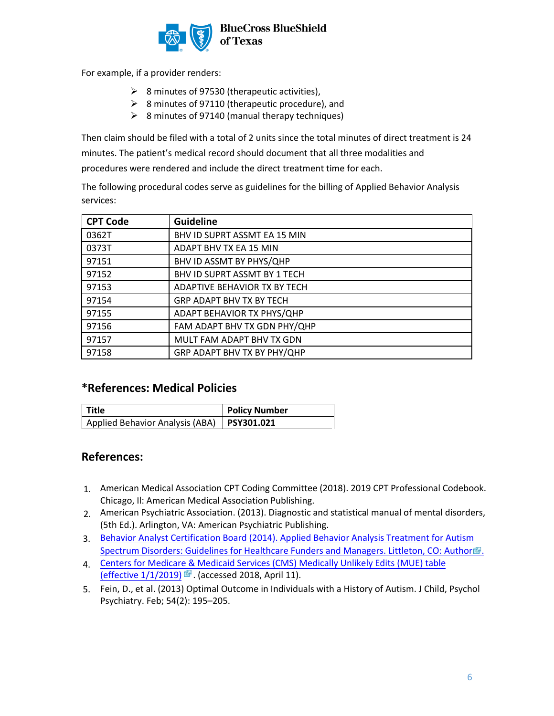

For example, if a provider renders:

- ➢ 8 minutes of 97530 (therapeutic activities),
- ➢ 8 minutes of 97110 (therapeutic procedure), and
- $\geq$  8 minutes of 97140 (manual therapy techniques)

Then claim should be filed with a total of 2 units since the total minutes of direct treatment is 24 minutes. The patient's medical record should document that all three modalities and procedures were rendered and include the direct treatment time for each.

The following procedural codes serve as guidelines for the billing of Applied Behavior Analysis services:

| <b>CPT Code</b> | <b>Guideline</b>                |
|-----------------|---------------------------------|
| 0362T           | BHV ID SUPRT ASSMT EA 15 MIN    |
| 0373T           | ADAPT BHV TX EA 15 MIN          |
| 97151           | BHV ID ASSMT BY PHYS/QHP        |
| 97152           | BHV ID SUPRT ASSMT BY 1 TECH    |
| 97153           | ADAPTIVE BEHAVIOR TX BY TECH    |
| 97154           | <b>GRP ADAPT BHV TX BY TECH</b> |
| 97155           | ADAPT BEHAVIOR TX PHYS/QHP      |
| 97156           | FAM ADAPT BHV TX GDN PHY/QHP    |
| 97157           | MULT FAM ADAPT BHV TX GDN       |
| 97158           | GRP ADAPT BHV TX BY PHY/QHP     |

## **\*References: Medical Policies**

| l Title                                      | <b>Policy Number</b> |
|----------------------------------------------|----------------------|
| Applied Behavior Analysis (ABA)   PSY301.021 |                      |

## **References:**

- American Medical Association CPT Coding Committee (2018). 2019 CPT Professional Codebook. 1. Chicago, Il: American Medical Association Publishing.
- American Psychiatric Association. (2013). Diagnostic and statistical manual of mental disorders, 2. (5th Ed.). Arlington, VA: American Psychiatric Publishing.
- 3. [Behavior Analyst Certification Board \(2014\). Applied Behavior Analysis Treatment for Autism](https://casproviders.org/asd-guidelines) Spectrum Disorders: Guidelines for Healthcare Funders and Managers. Littleton, CO: Author ...
- 4. [Centers for Medicare & Medicaid Services \(CMS\) Medically Unlikely Edits \(MUE\) table](https://www.cms.gov/Medicare/Coding/NationalCorrectCodInitEd/MUE.html) (effective  $1/1/2019$ )  $\overline{a}$ . (accessed 2018, April 11).
- Fein, D., et al. (2013) Optimal Outcome in Individuals with a History of Autism. J Child, Psychol 5.[Psychiatry. Feb; 54\(2\): 195–205.](https://www.cms.gov/Medicare/Coding/NationalCorrectCodInitEd/MUE.html)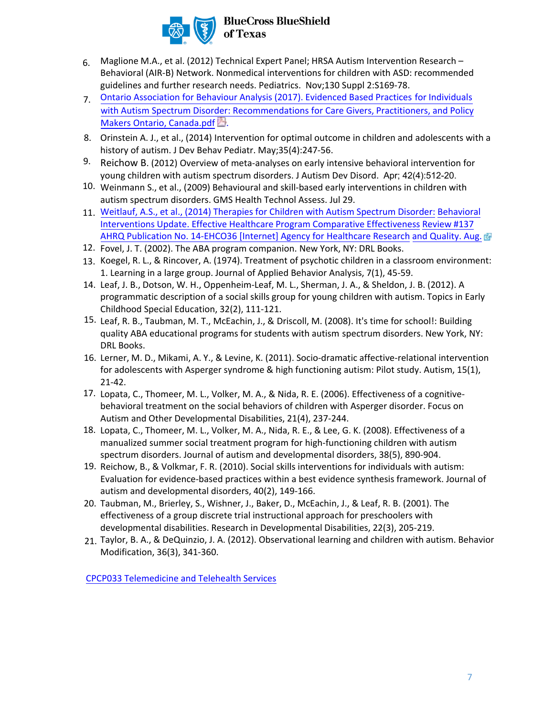

- Maglione M.A., et al. (2012) Technical Expert Panel; HRSA Autism Intervention Research Behavioral (AIR-B) Network. Nonmedical interventions for children with ASD: recommended guidelines and further research needs. Pediatrics. Nov;130 Suppl 2:S169-78. 6.
- Ontario Association for Behaviour Analysis (2017). Evidenced Based Practices for Individuals 7. [with Autism Spectrum Disorder: Recommendations for Care Givers, Practitioners, and Policy](http://www.ontaba.org/pdf/ONTABA%20OSETT-ASD%20REPORT%20WEB.pdf) Makers Ontario, Canada.pdf.
- Orinstein A. J., et al., (2014) Intervention for optimal outcome in children and adolescents with a 8. history of autism. J Dev Behav Pediatr. May;35(4):247-56.
- 9. Reichow B. (2012) Overview of meta-analyses on early intensive behavioral intervention for young children with autism spectrum disorders. J Autism Dev Disord. Apr; 42(4):512-20.
- Weinmann S., et al., (2009) Behavioural and skill-based early interventions in children with 10. autism spectrum disorders. GMS Health Technol Assess. Jul 29.
- 11. Weitlauf, A.S., et al., (2014) Therapies for Children with Autism Spectrum Disorder: Behavioral [Interventions Update. Effective Healthcare Program Comparative Effectiveness](https://effectivehealthcare.ahrq.gov/topics/autism-update/research/) Review #137 AHRQ Publication No. 14-EHCO36 [Internet] Agency for Healthcare Research and Quality. Aug.  $\vec{E}$
- 12. Fovel, J. T. (2002). The ABA program companion. New York, NY: DRL Books.
- 13. Koegel, R. L., & Rincover, A. (1974). Treatment of psychotic children in a classroom environment: 1. Learning in a large group. Journal of Applied Behavior Analysis, 7(1), 45-59.
- Leaf, J. B., Dotson, W. H., Oppenheim-Leaf, M. L., Sherman, J. A., & Sheldon, J. B. (2012). A 14. programmatic description of a social skills group for young children with autism. Topics in Early Childhood Special Education, 32(2), 111-121.
- Leaf, R. B., Taubman, M. T., McEachin, J., & Driscoll, M. (2008). It's time for school!: Building 15. quality ABA educational programs for students with autism spectrum disorders. New York, NY: DRL Books.
- Lerner, M. D., Mikami, A. Y., & Levine, K. (2011). Socio-dramatic affective-relational intervention 16. for adolescents with Asperger syndrome & high functioning autism: Pilot study. Autism, 15(1), 21-42.
- 17. Lopata, C., Thomeer, M. L., Volker, M. A., & Nida, R. E. (2006). Effectiveness of a cognitivebehavioral treatment on the social behaviors of children with Asperger disorder. Focus on Autism and Other Developmental Disabilities, 21(4), 237-244.
- 18. Lopata, C., Thomeer, M. L., Volker, M. A., Nida, R. E., & Lee, G. K. (2008). Effectiveness of a manualized summer social treatment program for high-functioning children with autism spectrum disorders. Journal of autism and developmental disorders, 38(5), 890-904.
- 19. Reichow, B., & Volkmar, F. R. (2010). Social skills interventions for individuals with autism: Evaluation for evidence-based practices within a best evidence synthesis framework. Journal of autism and developmental disorders, 40(2), 149-166.
- 20. Taubman, M., Brierley, S., Wishner, J., Baker, D., McEachin, J., & Leaf, R. B. (2001). The effectiveness of a group discrete trial instructional approach for preschoolers with developmental disabilities. Research in Developmental Disabilities, 22(3), 205-219.
- 21. Taylor, B. A., & DeQuinzio, J. A. (2012). Observational learning and children with autism. Behavior Modification, 36(3), 341-360.

[CPCP033 Telemedicine and Telehealth Services](https://www.bcbstx.com/provider/standards/cpcp.html)